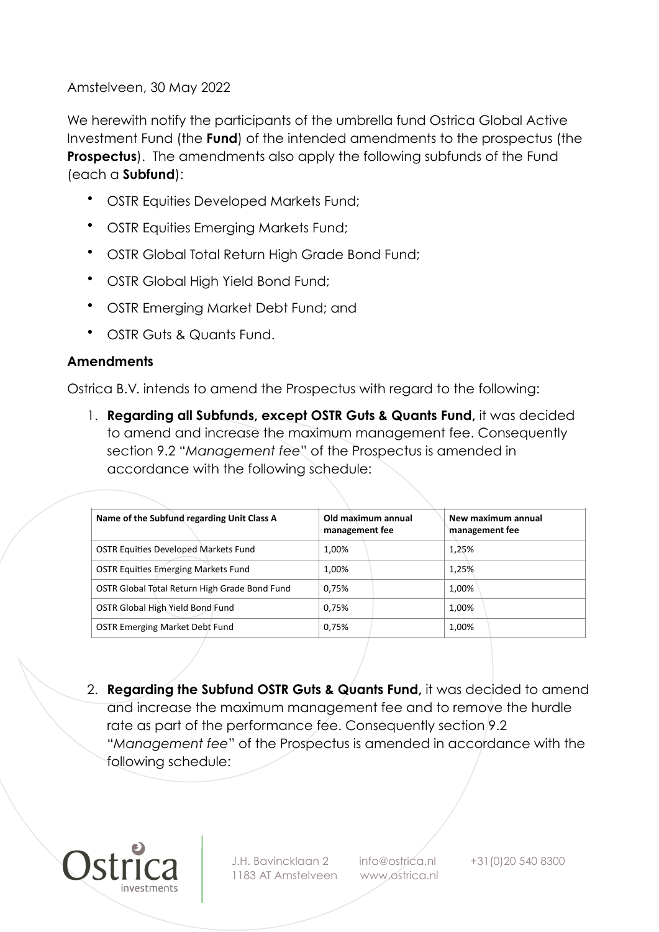Amstelveen, 30 May 2022

We herewith notify the participants of the umbrella fund Ostrica Global Active Investment Fund (the **Fund**) of the intended amendments to the prospectus (the **Prospectus**). The amendments also apply the following subfunds of the Fund (each a **Subfund**):

- OSTR Equities Developed Markets Fund;
- OSTR Equities Emerging Markets Fund;
- OSTR Global Total Return High Grade Bond Fund;
- OSTR Global High Yield Bond Fund;
- OSTR Emerging Market Debt Fund; and
- OSTR Guts & Quants Fund.

## **Amendments**

Ostrica B.V. intends to amend the Prospectus with regard to the following:

1. **Regarding all Subfunds, except OSTR Guts & Quants Fund,** it was decided to amend and increase the maximum management fee. Consequently section 9.2 "*Management fee*" of the Prospectus is amended in accordance with the following schedule:

| Name of the Subfund regarding Unit Class A    | Old maximum annual<br>management fee | New maximum annual<br>management fee |
|-----------------------------------------------|--------------------------------------|--------------------------------------|
| <b>OSTR Equities Developed Markets Fund</b>   | 1,00%                                | 1,25%                                |
| <b>OSTR Equities Emerging Markets Fund</b>    | 1,00%                                | 1,25%                                |
| OSTR Global Total Return High Grade Bond Fund | 0.75%                                | 1,00%                                |
| OSTR Global High Yield Bond Fund              | 0.75%                                | 1,00%                                |
| <b>OSTR Emerging Market Debt Fund</b>         | 0,75%                                | 1,00%                                |

2. **Regarding the Subfund OSTR Guts & Quants Fund,** it was decided to amend and increase the maximum management fee and to remove the hurdle rate as part of the performance fee. Consequently section 9.2 "*Management fee*" of the Prospectus is amended in accordance with the following schedule:



J.H. Bavincklaan 2 info@ostrica.nl +31(0)20 540 8300 1183 AT Amstelveen www.ostrica.nl